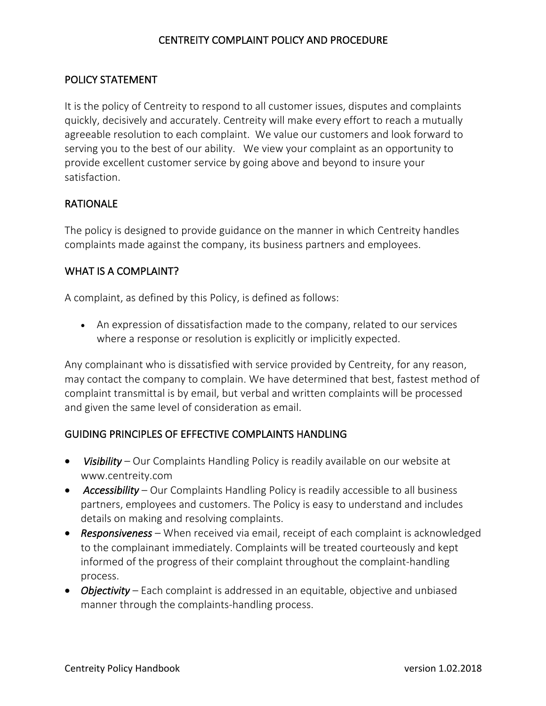# CENTREITY COMPLAINT POLICY AND PROCEDURE

## POLICY STATEMENT

It is the policy of Centreity to respond to all customer issues, disputes and complaints quickly, decisively and accurately. Centreity will make every effort to reach a mutually agreeable resolution to each complaint. We value our customers and look forward to serving you to the best of our ability. We view your complaint as an opportunity to provide excellent customer service by going above and beyond to insure your satisfaction.

# RATIONALE

The policy is designed to provide guidance on the manner in which Centreity handles complaints made against the company, its business partners and employees.

## WHAT IS A COMPLAINT?

A complaint, as defined by this Policy, is defined as follows:

• An expression of dissatisfaction made to the company, related to our services where a response or resolution is explicitly or implicitly expected.

Any complainant who is dissatisfied with service provided by Centreity, for any reason, may contact the company to complain. We have determined that best, fastest method of complaint transmittal is by email, but verbal and written complaints will be processed and given the same level of consideration as email.

#### GUIDING PRINCIPLES OF EFFECTIVE COMPLAINTS HANDLING

- *Visibility* Our Complaints Handling Policy is readily available on our website at www.centreity.com
- *Accessibility* Our Complaints Handling Policy is readily accessible to all business partners, employees and customers. The Policy is easy to understand and includes details on making and resolving complaints.
- *Responsiveness*  When received via email, receipt of each complaint is acknowledged to the complainant immediately. Complaints will be treated courteously and kept informed of the progress of their complaint throughout the complaint-handling process.
- *Objectivity* Each complaint is addressed in an equitable, objective and unbiased manner through the complaints-handling process.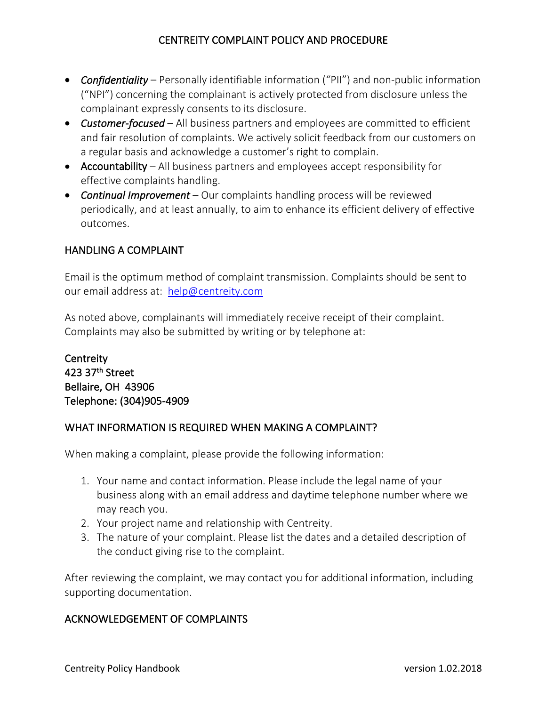# CENTREITY COMPLAINT POLICY AND PROCEDURE

- *Confidentiality* Personally identifiable information ("PII") and non-public information ("NPI") concerning the complainant is actively protected from disclosure unless the complainant expressly consents to its disclosure.
- *Customer-focused*  All business partners and employees are committed to efficient and fair resolution of complaints. We actively solicit feedback from our customers on a regular basis and acknowledge a customer's right to complain.
- Accountability All business partners and employees accept responsibility for effective complaints handling.
- *Continual Improvement* Our complaints handling process will be reviewed periodically, and at least annually, to aim to enhance its efficient delivery of effective outcomes.

## HANDLING A COMPLAINT

Email is the optimum method of complaint transmission. Complaints should be sent to our email address at: help@centreity.com

As noted above, complainants will immediately receive receipt of their complaint. Complaints may also be submitted by writing or by telephone at:

**Centreity** 423 37th Street Bellaire, OH 43906 Telephone: (304)905-4909

#### WHAT INFORMATION IS REQUIRED WHEN MAKING A COMPLAINT?

When making a complaint, please provide the following information:

- 1. Your name and contact information. Please include the legal name of your business along with an email address and daytime telephone number where we may reach you.
- 2. Your project name and relationship with Centreity.
- 3. The nature of your complaint. Please list the dates and a detailed description of the conduct giving rise to the complaint.

After reviewing the complaint, we may contact you for additional information, including supporting documentation.

#### ACKNOWLEDGEMENT OF COMPLAINTS